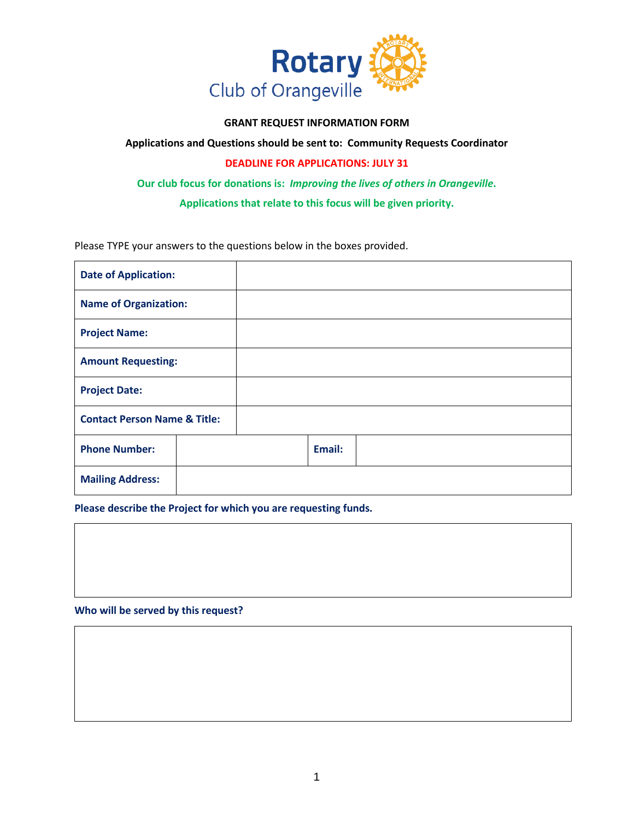

## **GRANT REQUEST INFORMATION FORM**

**Applications and Questions should be sent to: Community Requests Coordinator**

## **DEADLINE FOR APPLICATIONS: JULY 31**

**Our club focus for donations is:** *Improving the lives of others in Orangeville***.** 

**Applications that relate to this focus will be given priority.**

Please TYPE your answers to the questions below in the boxes provided.

| <b>Date of Application:</b>             |  |  |        |  |
|-----------------------------------------|--|--|--------|--|
| <b>Name of Organization:</b>            |  |  |        |  |
| <b>Project Name:</b>                    |  |  |        |  |
| <b>Amount Requesting:</b>               |  |  |        |  |
| <b>Project Date:</b>                    |  |  |        |  |
| <b>Contact Person Name &amp; Title:</b> |  |  |        |  |
| <b>Phone Number:</b>                    |  |  | Email: |  |
| <b>Mailing Address:</b>                 |  |  |        |  |

**Please describe the Project for which you are requesting funds.**

**Who will be served by this request?**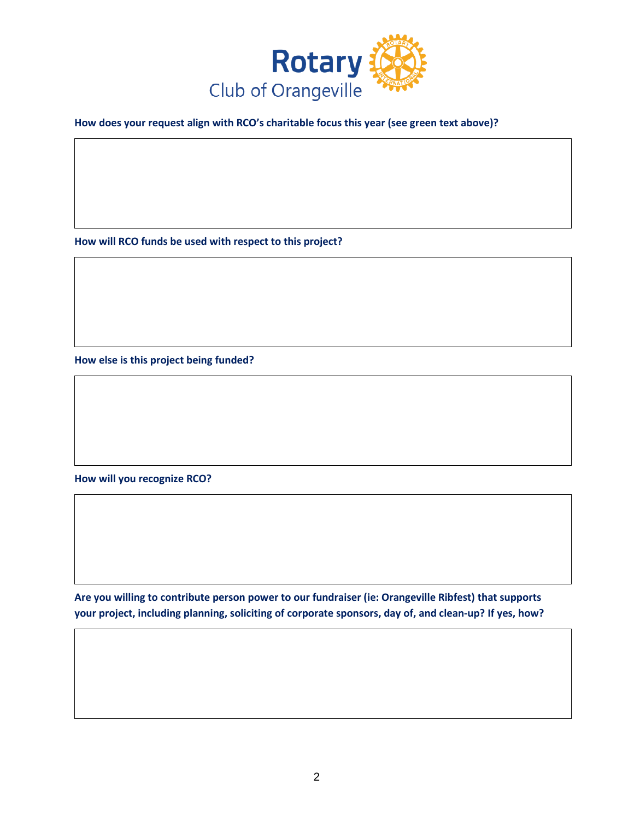

**How does your request align with RCO's charitable focus this year (see green text above)?**

**How will RCO funds be used with respect to this project?**

**How else is this project being funded?**

**How will you recognize RCO?**

**Are you willing to contribute person power to our fundraiser (ie: Orangeville Ribfest) that supports your project, including planning, soliciting of corporate sponsors, day of, and clean-up? If yes, how?**